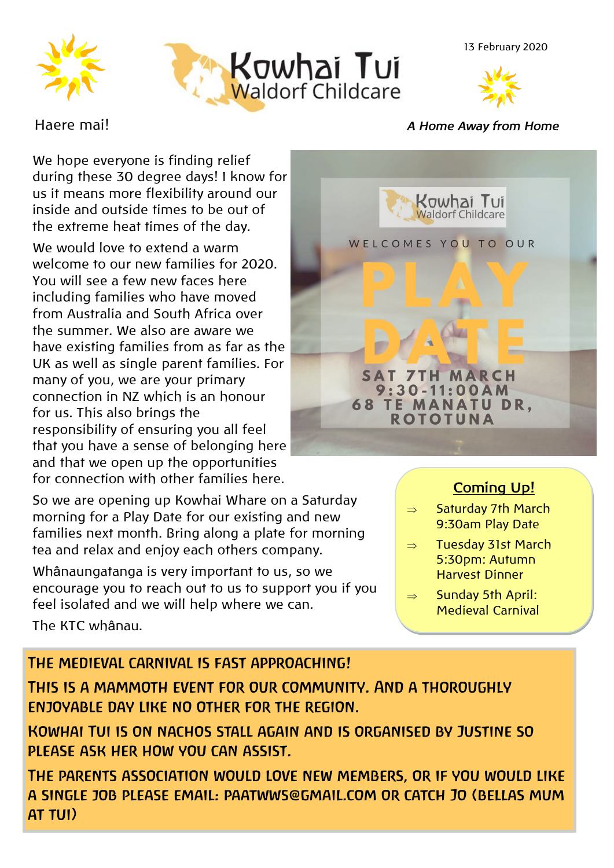







We hope everyone is finding relief during these 30 degree days! I know for us it means more flexibility around our inside and outside times to be out of the extreme heat times of the day.

We would love to extend a warm welcome to our new families for 2020. You will see a few new faces here including families who have moved from Australia and South Africa over the summer. We also are aware we have existing families from as far as the UK as well as single parent families. For many of you, we are your primary connection in NZ which is an honour for us. This also brings the responsibility of ensuring you all feel that you have a sense of belonging here and that we open up the opportunities for connection with other families here.

So we are opening up Kowhai Whare on a Saturday morning for a Play Date for our existing and new families next month. Bring along a plate for morning tea and relax and enjoy each others company.

Whânaungatanga is very important to us, so we encourage you to reach out to us to support you if you feel isolated and we will help where we can.

The KTC whânau.

#### Haere mai! *A Home Away from Home*

Kowhai Tui WELCOMES YOU TO OUR **7TH MARCH**  $9:30 - 11:00AM$ **68 TE MANATU DR. ROTOTUNA** 

## **Coming Up!**

- $\Rightarrow$  Saturday 7th March 9:30am Play Date
- $\Rightarrow$  Tuesday 31st March 5:30pm: Autumn Harvest Dinner
- $\Rightarrow$  Sunday 5th April: Medieval Carnival

### THE MEDIEVAL CARNIVAL IS FAST APPROACHING!

THIS IS A MAMMOTH EVENT FOR OUR COMMUNITY. AND A THOROUGHLY ENJOYABLE DAY LIKE NO OTHER FOR THE REGION.

KOWHAI TUI IS ON NACHOS STALL AGAIN AND IS ORGANISED BY JUSTINE SO PLEASE ASK HER HOW YOU CAN ASSIST.

THE PARENTS ASSOCIATION WOULD LOVE NEW MEMBERS, OR IF YOU WOULD LIKE A SINGLE JOB PLEASE EMAIL: PAATWWS@GMAIL.COM OR CATCH JO (BELLAS MUM AT TUI)